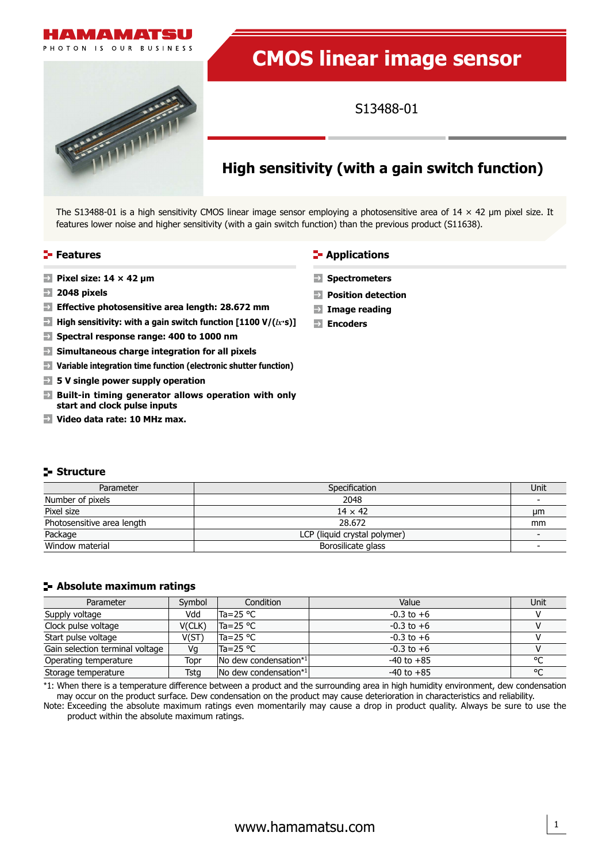

OTON IS OUR BUSINESS

# **CMOS linear image sensor**

S13488-01

## **High sensitivity (with a gain switch function)**

The S13488-01 is a high sensitivity CMOS linear image sensor employing a photosensitive area of  $14 \times 42$  µm pixel size. It features lower noise and higher sensitivity (with a gain switch function) than the previous product (S11638).

#### **Features**

- **Pixel size: 14 × 42 μm**
- **2048 pixels**
- **Effective photosensitive area length: 28.672 mm**
- $\rightarrow$ **High sensitivity: with a gain switch function [1100 V/(***lx***·s)]**
- **Spectral response range: 400 to 1000 nm**
- $\rightarrow$ **Simultaneous charge integration for all pixels**
- **Variable integration time function (electronic shutter function)**
- **5 V single power supply operation**
- **Built-in timing generator allows operation with only start and clock pulse inputs**
- **Video data rate: 10 MHz max.**

## **Spectrometers**

- **Position detection Image reading**
- **Encoders**

**F** Applications

**Structure**

| Parameter                  | Specification                | Unit |
|----------------------------|------------------------------|------|
| Number of pixels           | 2048                         |      |
| Pixel size                 | $14 \times 42$               | um   |
| Photosensitive area length | 28.672                       | mm   |
| Package                    | LCP (liquid crystal polymer) |      |
| Window material            | Borosilicate glass           |      |

#### **Absolute maximum ratings**

| Parameter                       | Symbol | Condition             | Value          | Unit    |
|---------------------------------|--------|-----------------------|----------------|---------|
| Supply voltage                  | Vdd    | $Ta = 25 °C$          | $-0.3$ to $+6$ |         |
| Clock pulse voltage             | V(CLK) | $Ta = 25 °C$          | $-0.3$ to $+6$ |         |
| Start pulse voltage             | V(ST)  | $Ta = 25 °C$          | $-0.3$ to $+6$ |         |
| Gain selection terminal voltage | Vq     | $Ta = 25 °C$          | $-0.3$ to $+6$ |         |
| Operating temperature           | Topr   | No dew condensation*1 | $-40$ to $+85$ | $\circ$ |
| Storage temperature             | Tstg   | No dew condensation*1 | $-40$ to $+85$ | $\circ$ |

\*1: When there is a temperature difference between a product and the surrounding area in high humidity environment, dew condensation may occur on the product surface. Dew condensation on the product may cause deterioration in characteristics and reliability.

Note: Exceeding the absolute maximum ratings even momentarily may cause a drop in product quality. Always be sure to use the product within the absolute maximum ratings.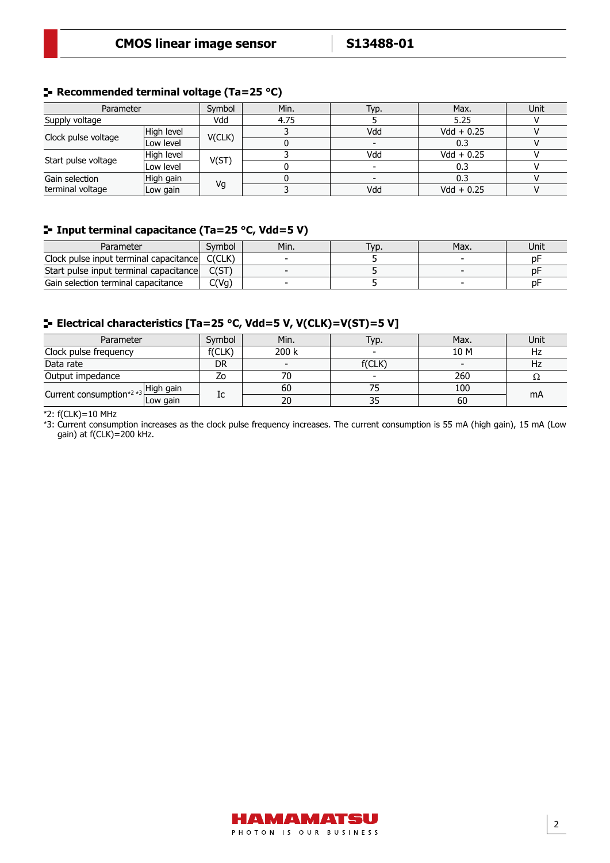### **Recommended terminal voltage (Ta=25 °C)**

| Parameter           |            | Symbol | Min. | Typ. | Max.         | Unit |
|---------------------|------------|--------|------|------|--------------|------|
| Supply voltage      |            | Vdd    | 4.75 |      | 5.25         |      |
|                     | High level |        |      | Vdd  | $Vdd + 0.25$ |      |
| Clock pulse voltage | Low level  | V(CLK) |      |      | 0.3          |      |
|                     | High level |        |      | Vdd  | $Vdd + 0.25$ |      |
| Start pulse voltage | Low level  | V(ST)  |      |      | 0.3          |      |
| Gain selection      | High gain  |        |      |      | 0.3          |      |
| terminal voltage    | Low gain   | Vg     |      | Vdd  | $Vdd + 0.25$ |      |

## **Input terminal capacitance (Ta=25 °C, Vdd=5 V)**

| Parameter                                     | Svmbol | Min. | Typ. | Max. | Unit |
|-----------------------------------------------|--------|------|------|------|------|
| Clock pulse input terminal capacitance C(CLK) |        |      |      |      | рF   |
| Start pulse input terminal capacitance        |        |      |      |      | рŀ   |
| Gain selection terminal capacitance           | C(Vg)  |      |      |      | nŀ   |

### **Electrical characteristics [Ta=25 °C, Vdd=5 V, V(CLK)=V(ST)=5 V]**

| Parameter                                      |          | Svmbol | Min.  | Гур.   | Max. | Unit |
|------------------------------------------------|----------|--------|-------|--------|------|------|
| Clock pulse frequency                          |          | f(CLK) | 200 k |        | 10 M | Hz   |
| Data rate                                      |          | DR     |       | f(CLK) |      | Hz   |
| Output impedance                               |          | Ζo     | 70    | $\sim$ | 260  | 77   |
| Current consumption <sup>*2 *3</sup> High gain |          | Ic     | 60    |        | 100  |      |
|                                                | Low gain |        | 20    | 35     | 60   | mA   |

 $*2: f(CLK) = 10 MHz$ 

\*3: Current consumption increases as the clock pulse frequency increases. The current consumption is 55 mA (high gain), 15 mA (Low gain) at f(CLK)=200 kHz.

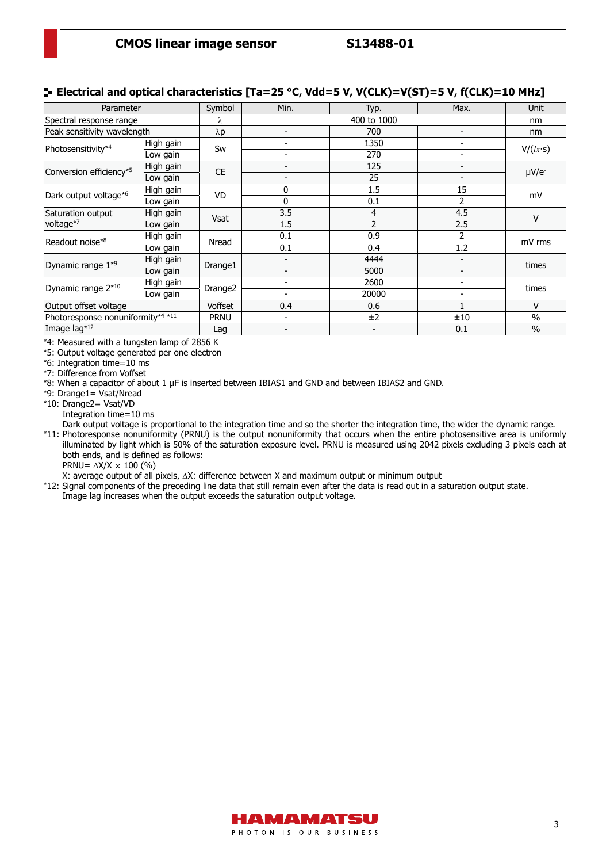### **E** Electrical and optical characteristics [Ta=25 °C, Vdd=5 V, V(CLK)=V(ST)=5 V, f(CLK)=10 MHz]

| Parameter                         |           | Symbol              | Min.                     | Typ.        | Max.                     | <b>Unit</b>   |  |
|-----------------------------------|-----------|---------------------|--------------------------|-------------|--------------------------|---------------|--|
| Spectral response range           |           | λ                   |                          | 400 to 1000 |                          | nm            |  |
| Peak sensitivity wavelength       |           | $\lambda p$         | $\overline{\phantom{a}}$ | 700         | $\overline{\phantom{0}}$ | nm            |  |
| Photosensitivity*4                | High gain | Sw                  | $\overline{\phantom{a}}$ | 1350        |                          |               |  |
|                                   | Low gain  |                     | $\overline{\phantom{a}}$ | 270         |                          | V/(lx·s)      |  |
| Conversion efficiency*5           | High gain | <b>CE</b>           | -                        | 125         | -                        |               |  |
|                                   | Low gain  |                     | $\overline{\phantom{a}}$ | 25          |                          | $\mu V/e^{-}$ |  |
| Dark output voltage*6             | High gain | VD                  | 0                        | 1.5         | 15                       | mV            |  |
|                                   | Low gain  |                     | 0                        | 0.1         | $\overline{2}$           |               |  |
| Saturation output<br>voltage*7    | High gain | <b>Vsat</b>         | 3.5                      | 4           | 4.5                      | V             |  |
|                                   | Low gain  |                     | 1.5                      | 2           | 2.5                      |               |  |
|                                   | High gain | Nread               | 0.1                      | 0.9         | 2                        | mV rms        |  |
| Readout noise*8                   | Low gain  |                     | 0.1                      | 0.4         | 1.2                      |               |  |
| Dynamic range 1 <sup>*9</sup>     | High gain |                     | $\overline{\phantom{a}}$ | 4444        | $\overline{\phantom{0}}$ | times         |  |
|                                   | Low gain  | Drange1             | $\overline{\phantom{a}}$ | 5000        | $\overline{\phantom{a}}$ |               |  |
| Dynamic range 2*10                | High gain |                     | -                        | 2600        | -                        | times         |  |
|                                   | Low gain  | Drange <sub>2</sub> | -                        | 20000       | -                        |               |  |
| Output offset voltage             |           | <b>Voffset</b>      | 0.4                      | 0.6         |                          | V             |  |
| Photoresponse nonuniformity*4 *11 |           | <b>PRNU</b>         | ۰                        | ±2          | ±10                      | $\frac{0}{0}$ |  |
| Image lag*12                      |           | Lag                 | $\overline{\phantom{a}}$ | -           | 0.1                      | $\frac{0}{0}$ |  |

\*4: Measured with a tungsten lamp of 2856 K

\*5: Output voltage generated per one electron

\*6: Integration time=10 ms

\*7: Difference from Voffset

\*8: When a capacitor of about 1 µF is inserted between IBIAS1 and GND and between IBIAS2 and GND.

\*9: Drange1= Vsat/Nread

\*10: Drange2= Vsat/VD

Integration time=10 ms

Dark output voltage is proportional to the integration time and so the shorter the integration time, the wider the dynamic range. \*11: Photoresponse nonuniformity (PRNU) is the output nonuniformity that occurs when the entire photosensitive area is uniformly illuminated by light which is 50% of the saturation exposure level. PRNU is measured using 2042 pixels excluding 3 pixels each at both ends, and is defined as follows: PRNU=  $\Delta$ X/X  $\times$  100 (%)

X: average output of all pixels, ∆X: difference between X and maximum output or minimum output

\*12: Signal components of the preceding line data that still remain even after the data is read out in a saturation output state.

Image lag increases when the output exceeds the saturation output voltage.

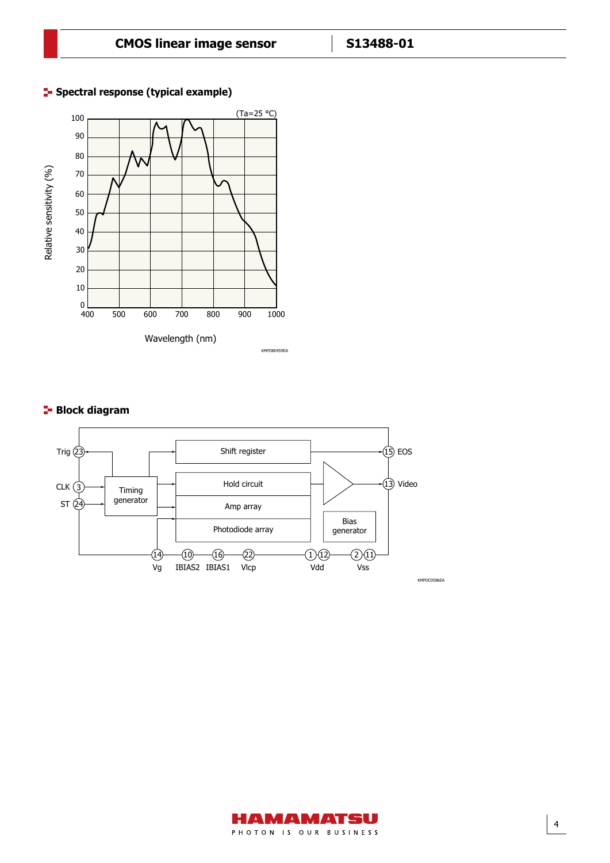

## **F** Spectral response (typical example)

## **Block diagram**



4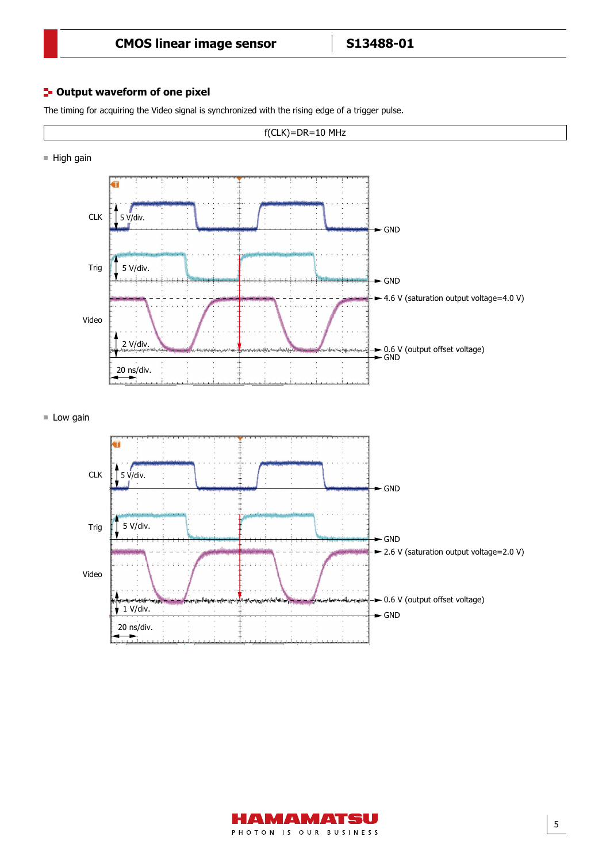#### **<sup>1</sup>- Output waveform of one pixel**

The timing for acquiring the Video signal is synchronized with the rising edge of a trigger pulse.



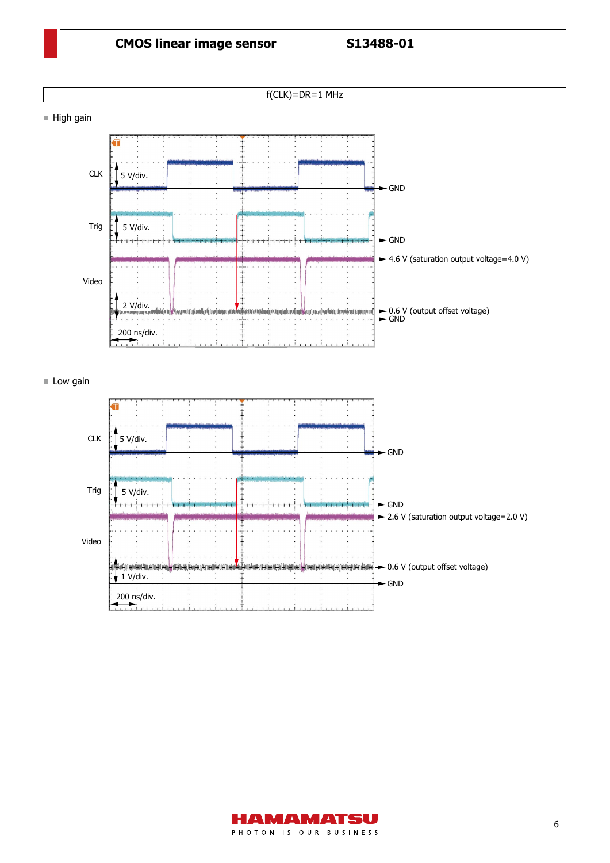



6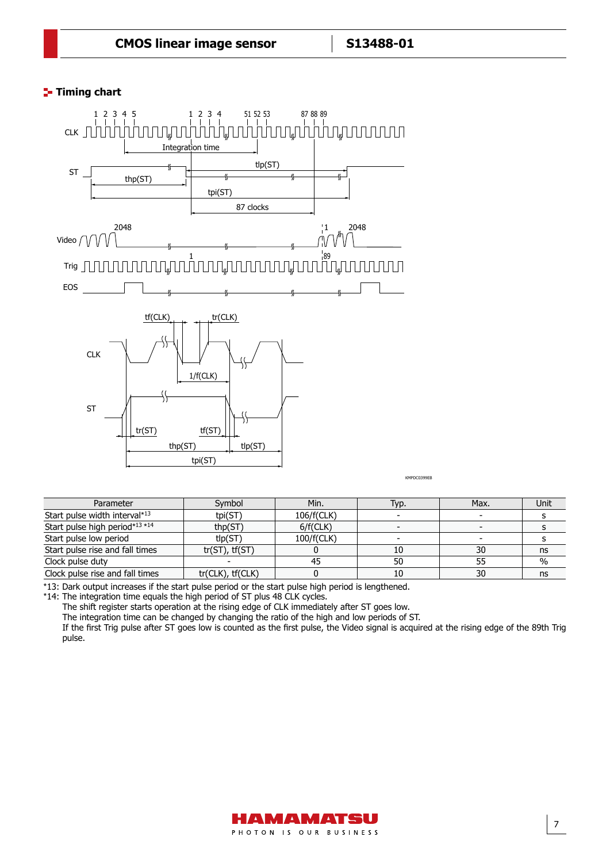## **T**- Timing chart



KMPDC0399EB

| Parameter                       | Symbol                | Min.       | Typ. | Max. | Unit |
|---------------------------------|-----------------------|------------|------|------|------|
| Start pulse width interval*13   | tpi(ST)               | 106/f(CLK) |      |      |      |
| Start pulse high period*13 *14  | thp(ST)               | 6/f(CLK)   |      |      |      |
| Start pulse low period          | tlp(ST)               | 100/f(CLK) |      |      |      |
| Start pulse rise and fall times | $tr(ST)$ , $tf(ST)$   |            | 10   | 30   | ns   |
| Clock pulse duty                |                       |            | 50   | 55   | $\%$ |
| Clock pulse rise and fall times | $tr(CLK)$ , $tf(CLK)$ |            | 10   | 30   | ns   |

\*13: Dark output increases if the start pulse period or the start pulse high period is lengthened.

\*14: The integration time equals the high period of ST plus 48 CLK cycles.

The shift register starts operation at the rising edge of CLK immediately after ST goes low.

The integration time can be changed by changing the ratio of the high and low periods of ST.

If the first Trig pulse after ST goes low is counted as the first pulse, the Video signal is acquired at the rising edge of the 89th Trig pulse.

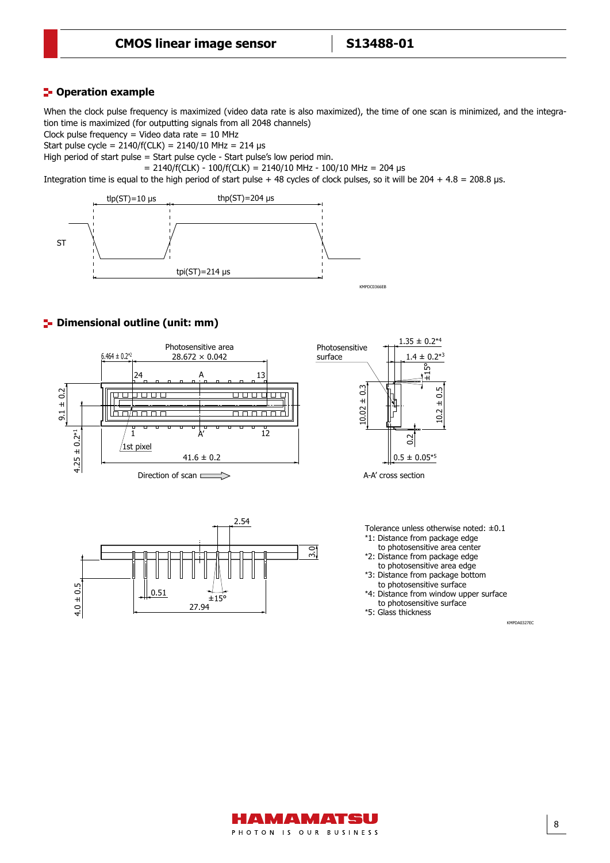### **P**-Operation example

When the clock pulse frequency is maximized (video data rate is also maximized), the time of one scan is minimized, and the integration time is maximized (for outputting signals from all 2048 channels)

Clock pulse frequency = Video data rate =  $10$  MHz

Start pulse cycle =  $2140/f(CLK) = 2140/10 MHz = 214 \text{ }\mu\text{s}$ 

High period of start pulse = Start pulse cycle - Start pulse's low period min.

 $= 2140/f(CLK) - 100/f(CLK) = 2140/10 MHz - 100/10 MHz = 204 \text{ }\mu\text{s}$ 

Integration time is equal to the high period of start pulse + 48 cycles of clock pulses, so it will be  $204 + 4.8 = 208.8$  µs.



### **P**- Dimensional outline (unit: mm)







A-A' cross section

Tolerance unless otherwise noted: ±0.1 \*1: Distance from package edge

- to photosensitive area center
- \*2: Distance from package edge to photosensitive area edge

\*3: Distance from package bottom to photosensitive surface

\*4: Distance from window upper surface to photosensitive surface

\*5: Glass thickness

KMPDA0327EC

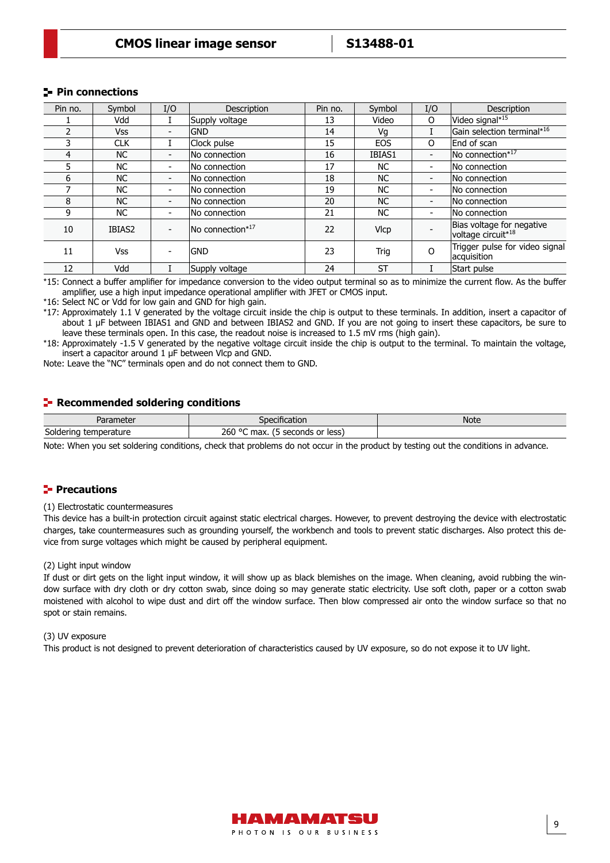#### **Pin connections**

| Pin no. | Symbol     | I/O                      | Description      | Pin no. | Symbol      | I/O                      | <b>Description</b>                                          |
|---------|------------|--------------------------|------------------|---------|-------------|--------------------------|-------------------------------------------------------------|
|         | Vdd        |                          | Supply voltage   | 13      | Video       | $\Omega$                 | Video signal* <sup>15</sup>                                 |
|         | <b>Vss</b> | -                        | <b>GND</b>       | 14      | Vg          |                          | Gain selection terminal* <sup>16</sup>                      |
| 3       | <b>CLK</b> |                          | Clock pulse      | 15      | <b>EOS</b>  | $\Omega$                 | End of scan                                                 |
| 4       | <b>NC</b>  | $\overline{\phantom{0}}$ | No connection    | 16      | IBIAS1      | $\overline{\phantom{0}}$ | No connection*17                                            |
| 5       | <b>NC</b>  | $\overline{\phantom{0}}$ | No connection    | 17      | <b>NC</b>   | $\blacksquare$           | No connection                                               |
| 6       | <b>NC</b>  | $\overline{\phantom{0}}$ | No connection    | 18      | NC.         | $\overline{\phantom{0}}$ | No connection                                               |
|         | NC.        | $\overline{\phantom{0}}$ | No connection    | 19      | <b>NC</b>   | $\blacksquare$           | No connection                                               |
| 8       | <b>NC</b>  | $\overline{\phantom{0}}$ | No connection    | 20      | <b>NC</b>   | $\overline{\phantom{a}}$ | No connection                                               |
| 9       | <b>NC</b>  |                          | No connection    | 21      | <b>NC</b>   | $\blacksquare$           | No connection                                               |
| 10      | IBIAS2     |                          | No connection*17 | 22      | <b>VIcp</b> |                          | Bias voltage for negative<br>voltage circuit* <sup>18</sup> |
| 11      | <b>Vss</b> |                          | <b>GND</b>       | 23      | Trig        | $\Omega$                 | Trigger pulse for video signal<br>acquisition               |
| 12      | Vdd        |                          | Supply voltage   | 24      | <b>ST</b>   |                          | Start pulse                                                 |

\*15: Connect a buffer amplifier for impedance conversion to the video output terminal so as to minimize the current flow. As the buffer amplifier, use a high input impedance operational amplifier with JFET or CMOS input.

\*16: Select NC or Vdd for low gain and GND for high gain.

\*17: Approximately 1.1 V generated by the voltage circuit inside the chip is output to these terminals. In addition, insert a capacitor of about 1 μF between IBIAS1 and GND and between IBIAS2 and GND. If you are not going to insert these capacitors, be sure to leave these terminals open. In this case, the readout noise is increased to 1.5 mV rms (high gain).

\*18: Approximately -1.5 V generated by the negative voltage circuit inside the chip is output to the terminal. To maintain the voltage, insert a capacitor around 1 μF between Vlcp and GND.

Note: Leave the "NC" terminals open and do not connect them to GND.

#### **Recommended soldering conditions**

| Parameter                | $- - - - -$<br>ecification                       | Note |
|--------------------------|--------------------------------------------------|------|
| Soldering<br>temperature | 260 °C<br>less<br>max.<br>. or<br>seconds<br>. . |      |

Note: When you set soldering conditions, check that problems do not occur in the product by testing out the conditions in advance.

#### **Precautions**

#### (1) Electrostatic countermeasures

This device has a built-in protection circuit against static electrical charges. However, to prevent destroying the device with electrostatic charges, take countermeasures such as grounding yourself, the workbench and tools to prevent static discharges. Also protect this device from surge voltages which might be caused by peripheral equipment.

#### (2) Light input window

If dust or dirt gets on the light input window, it will show up as black blemishes on the image. When cleaning, avoid rubbing the window surface with dry cloth or dry cotton swab, since doing so may generate static electricity. Use soft cloth, paper or a cotton swab moistened with alcohol to wipe dust and dirt off the window surface. Then blow compressed air onto the window surface so that no spot or stain remains.

#### (3) UV exposure

This product is not designed to prevent deterioration of characteristics caused by UV exposure, so do not expose it to UV light.